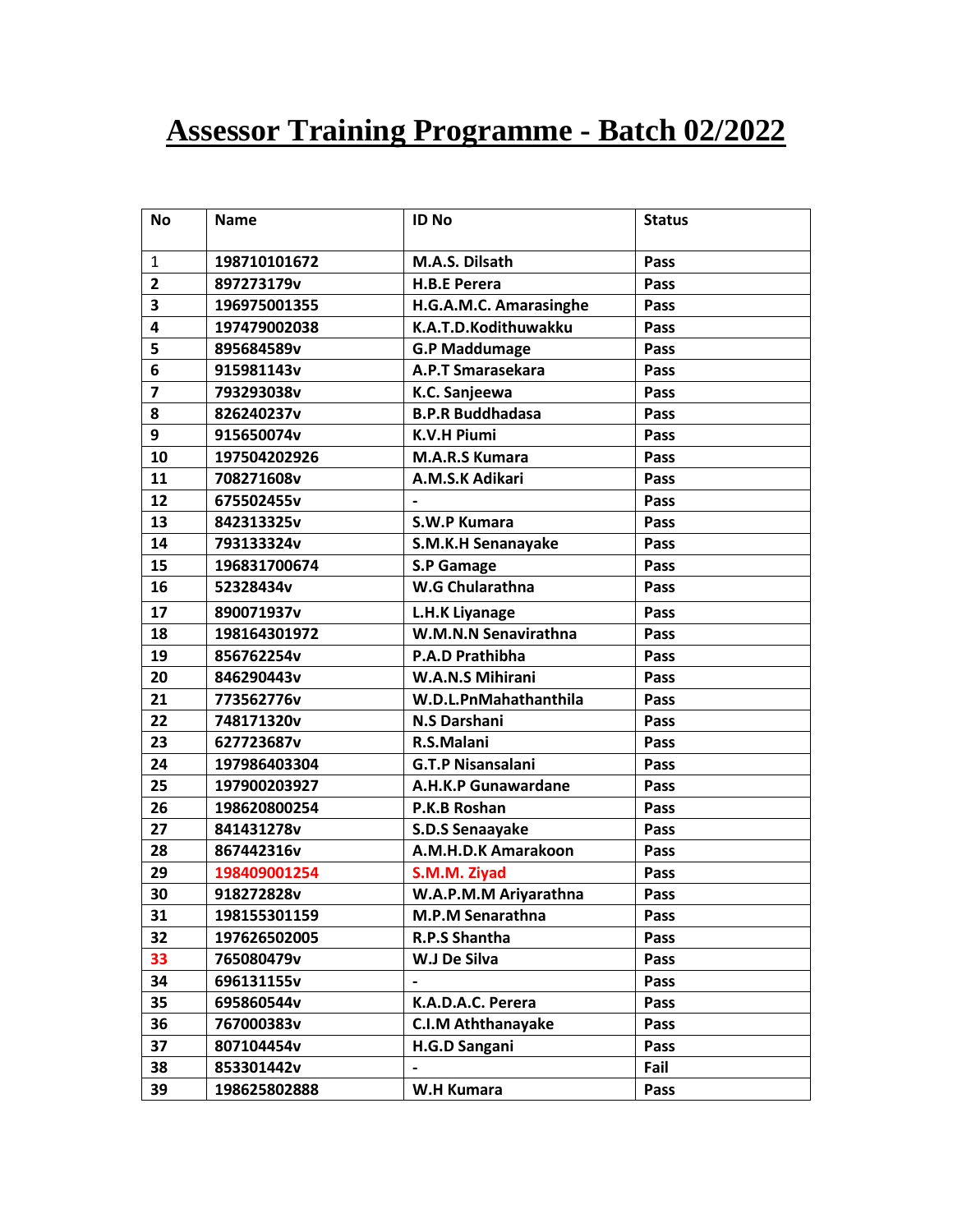## **Assessor Training Programme - Batch 02/2022**

| Νo             | <b>Name</b>  | <b>ID No</b>              | <b>Status</b> |
|----------------|--------------|---------------------------|---------------|
| $\mathbf{1}$   | 198710101672 | M.A.S. Dilsath            | Pass          |
| $\overline{2}$ | 897273179v   | <b>H.B.E Perera</b>       | Pass          |
| 3              | 196975001355 | H.G.A.M.C. Amarasinghe    | Pass          |
| 4              | 197479002038 | K.A.T.D.Kodithuwakku      | Pass          |
| 5              | 895684589v   | <b>G.P Maddumage</b>      | Pass          |
| 6              | 915981143v   | A.P.T Smarasekara         | Pass          |
| $\overline{7}$ | 793293038v   | K.C. Sanjeewa             | Pass          |
| 8              | 826240237v   | <b>B.P.R Buddhadasa</b>   | Pass          |
| 9              | 915650074v   | <b>K.V.H Piumi</b>        | Pass          |
| 10             | 197504202926 | <b>M.A.R.S Kumara</b>     | Pass          |
| 11             | 708271608v   | A.M.S.K Adikari           | Pass          |
| 12             | 675502455v   |                           | Pass          |
| 13             | 842313325v   | S.W.P Kumara              | Pass          |
| 14             | 793133324v   | S.M.K.H Senanayake        | Pass          |
| 15             | 196831700674 | <b>S.P Gamage</b>         | Pass          |
| 16             | 52328434v    | W.G Chularathna           | Pass          |
| 17             | 890071937v   | L.H.K Liyanage            | Pass          |
| 18             | 198164301972 | W.M.N.N Senavirathna      | Pass          |
| 19             | 856762254v   | <b>P.A.D Prathibha</b>    | Pass          |
| 20             | 846290443v   | <b>W.A.N.S Mihirani</b>   | Pass          |
| 21             | 773562776v   | W.D.L.PnMahathanthila     | Pass          |
| 22             | 748171320v   | <b>N.S Darshani</b>       | Pass          |
| 23             | 627723687v   | R.S.Malani                | Pass          |
| 24             | 197986403304 | <b>G.T.P Nisansalani</b>  | Pass          |
| 25             | 197900203927 | A.H.K.P Gunawardane       | Pass          |
| 26             | 198620800254 | P.K.B Roshan              | Pass          |
| 27             | 841431278v   | S.D.S Senaayake           | Pass          |
| 28             | 867442316v   | A.M.H.D.K Amarakoon       | Pass          |
| 29             | 198409001254 | S.M.M. Ziyad              | Pass          |
| 30             | 918272828v   | W.A.P.M.M Ariyarathna     | Pass          |
| 31             | 198155301159 | M.P.M Senarathna          | <b>Pass</b>   |
| 32             | 197626502005 | R.P.S Shantha             | Pass          |
| 33             | 765080479v   | W.J De Silva              | Pass          |
| 34             | 696131155v   | $\hbox{\small -}$         | Pass          |
| 35             | 695860544v   | K.A.D.A.C. Perera         | Pass          |
| 36             | 767000383v   | <b>C.I.M Aththanayake</b> | Pass          |
| 37             | 807104454v   | H.G.D Sangani             | Pass          |
| 38             | 853301442v   |                           | Fail          |
| 39             | 198625802888 | W.H Kumara                | Pass          |